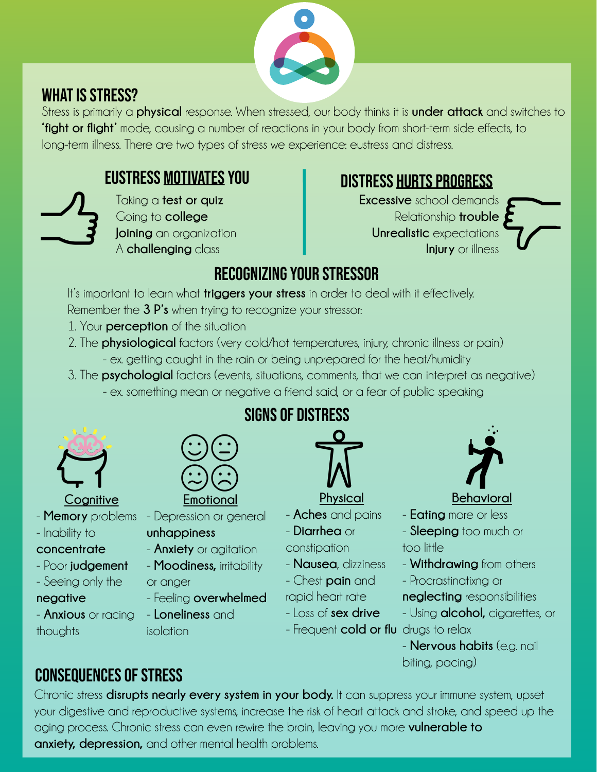

### WHAT IS STRESS?

Stress is primarily a **physical** response. When stressed, our body thinks it is **under attack** and switches to **'fight or flight'** mode, causing a number of reactions in your body from short-term side effects, to long-term illness. There are two types of stress we experience: eustress and distress.



Taking a **test or quiz** Going to **college Joining** an organization A **challenging** class

# eustress motivates you distress hurts progress

**Excessive** school demands Relationship **trouble Unrealistic** expectations **Injury** or illness



# Recognizing your stressor

It's important to learn what **triggers your stress** in order to deal with it effectively. Remember the **3 P's** when trying to recognize your stressor:

- 1. Your **perception** of the situation
- 2. The **physiological** factors (very cold/hot temperatures, injury, chronic illness or pain) - ex. getting caught in the rain or being unprepared for the heat/humidity
- 3. The **psychologial** factors (events, situations, comments, that we can interpret as negative) - ex. something mean or negative a friend said, or a fear of public speaking



#### **Cognitive** - **Memory** problems - Depression or general

- Inability to
- **concentrate**
- Poor **judgement**
- Seeing only the
- **negative**
- **Anxious** or racing thoughts



**Emotional**

### **unhappiness**

- **Anxiety** or agitation
- **Moodiness,** irritability

#### or anger

- Feeling **overwhelmed**

- **Loneliness** and isolation

# signs of distress

- **Physical**
- **Aches** and pains
- **Diarrhea** or

#### constipation

- **Nausea**, dizziness
- Chest **pain** and
- rapid heart rate
	- Loss of **sex drive**
	- Frequent **cold or flu**  drugs to relax



#### **Behavioral**

- **Eating** more or less
- **Sleeping** too much or too little
- **Withdrawing** from others
- Procrastinatixng or **neglecting** responsibilities
- Using **alcohol,** cigarettes, or
- **Nervous habits** (e.g. nail biting, pacing)

# consequences of stress

Chronic stress **disrupts nearly every system in your body.** It can suppress your immune system, upset your digestive and reproductive systems, increase the risk of heart attack and stroke, and speed up the aging process. Chronic stress can even rewire the brain, leaving you more **vulnerable to anxiety, depression,** and other mental health problems.